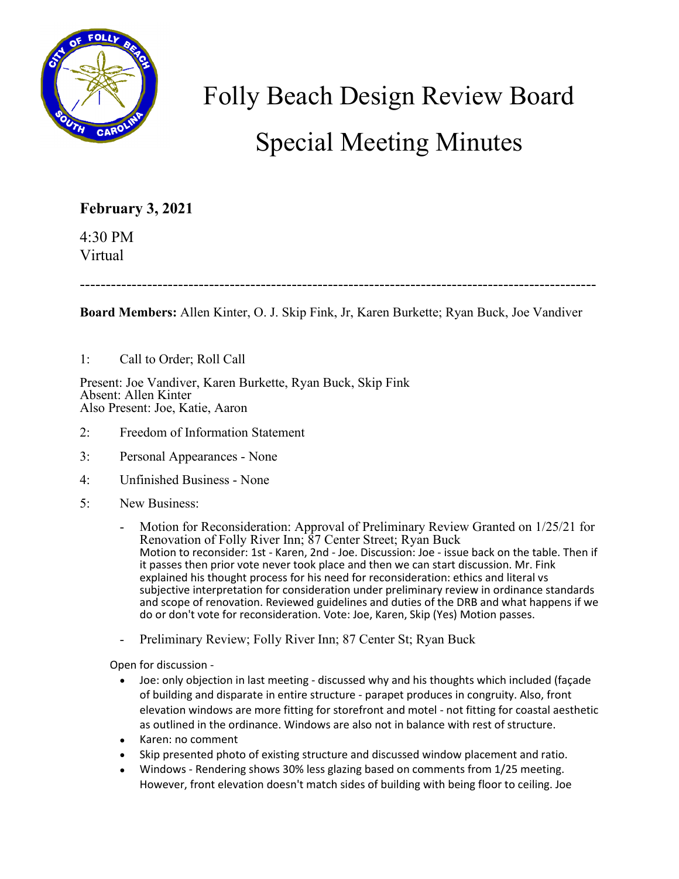

## Folly Beach Design Review Board Special Meeting Minutes

## **February 3, 2021**

4:30 PM Virtual

----------------------------------------------------------------------------------------------------

**Board Members:** Allen Kinter, O. J. Skip Fink, Jr, Karen Burkette; Ryan Buck, Joe Vandiver

## 1: Call to Order; Roll Call

Present: Joe Vandiver, Karen Burkette, Ryan Buck, Skip Fink Absent: Allen Kinter Also Present: Joe, Katie, Aaron

- 2: Freedom of Information Statement
- 3: Personal Appearances None
- 4: Unfinished Business None
- 5: New Business:
	- Motion for Reconsideration: Approval of Preliminary Review Granted on 1/25/21 for Renovation of Folly River Inn; 87 Center Street; Ryan Buck Motion to reconsider: 1st - Karen, 2nd - Joe. Discussion: Joe - issue back on the table. Then if it passes then prior vote never took place and then we can start discussion. Mr. Fink explained his thought process for his need for reconsideration: ethics and literal vs subjective interpretation for consideration under preliminary review in ordinance standards and scope of renovation. Reviewed guidelines and duties of the DRB and what happens if we do or don't vote for reconsideration. Vote: Joe, Karen, Skip (Yes) Motion passes.
	- Preliminary Review; Folly River Inn; 87 Center St; Ryan Buck

Open for discussion -

- Joe: only objection in last meeting discussed why and his thoughts which included (façade of building and disparate in entire structure - parapet produces in congruity. Also, front elevation windows are more fitting for storefront and motel - not fitting for coastal aesthetic as outlined in the ordinance. Windows are also not in balance with rest of structure.
- Karen: no comment
- Skip presented photo of existing structure and discussed window placement and ratio.
- Windows Rendering shows 30% less glazing based on comments from 1/25 meeting. However, front elevation doesn't match sides of building with being floor to ceiling. Joe